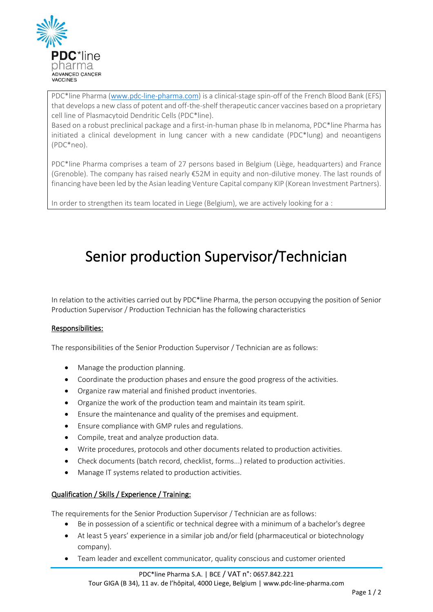

PDC\*line Pharma [\(www.pdc-line-pharma.com\)](http://www.pdc-line-pharma.com/) is a clinical-stage spin-off of the French Blood Bank (EFS) that develops a new class of potent and off-the-shelf therapeutic cancer vaccines based on a proprietary cell line of Plasmacytoid Dendritic Cells (PDC\*line).

Based on a robust preclinical package and a first-in-human phase Ib in melanoma, PDC\*line Pharma has initiated a clinical development in lung cancer with a new candidate (PDC\*lung) and neoantigens (PDC\*neo).

PDC\*line Pharma comprises a team of 27 persons based in Belgium (Liège, headquarters) and France (Grenoble). The company has raised nearly €52M in equity and non-dilutive money. The last rounds of financing have been led by the Asian leading Venture Capital company KIP (Korean Investment Partners).

In order to strengthen its team located in Liege (Belgium), we are actively looking for a :

# Senior production Supervisor/Technician

In relation to the activities carried out by PDC\*line Pharma, the person occupying the position of Senior Production Supervisor / Production Technician has the following characteristics

#### Responsibilities:

The responsibilities of the Senior Production Supervisor / Technician are as follows:

- Manage the production planning.
- Coordinate the production phases and ensure the good progress of the activities.
- Organize raw material and finished product inventories.
- Organize the work of the production team and maintain its team spirit.
- Ensure the maintenance and quality of the premises and equipment.
- Ensure compliance with GMP rules and regulations.
- Compile, treat and analyze production data.
- Write procedures, protocols and other documents related to production activities.
- Check documents (batch record, checklist, forms...) related to production activities.
- Manage IT systems related to production activities.

## Qualification / Skills / Experience / Training:

The requirements for the Senior Production Supervisor / Technician are as follows:

- Be in possession of a scientific or technical degree with a minimum of a bachelor's degree
- At least 5 years' experience in a similar job and/or field (pharmaceutical or biotechnology company).
- Team leader and excellent communicator, quality conscious and customer oriented